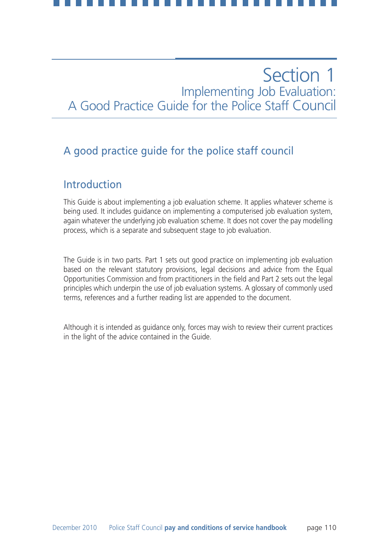## A good practice guide for the police staff council

### Introduction

This Guide is about implementing a job evaluation scheme. It applies whatever scheme is being used. It includes guidance on implementing a computerised job evaluation system, again whatever the underlying job evaluation scheme. It does not cover the pay modelling process, which is a separate and subsequent stage to job evaluation.

The Guide is in two parts. Part 1 sets out good practice on implementing job evaluation based on the relevant statutory provisions, legal decisions and advice from the Equal Opportunities Commission and from practitioners in the field and Part 2 sets out the legal principles which underpin the use of job evaluation systems. A glossary of commonly used terms, references and a further reading list are appended to the document.

Although it is intended as guidance only, forces may wish to review their current practices in the light of the advice contained in the Guide.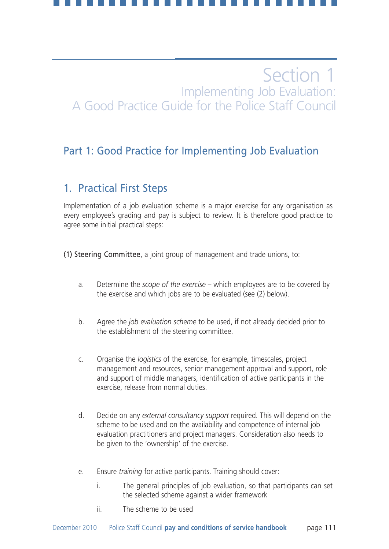## Part 1: Good Practice for Implementing Job Evaluation

### 1. Practical First Steps

Implementation of a job evaluation scheme is a major exercise for any organisation as every employee's grading and pay is subject to review. It is therefore good practice to agree some initial practical steps:

(1) Steering Committee, a joint group of management and trade unions, to:

- a. Determine the *scope of the exercise* which employees are to be covered by the exercise and which jobs are to be evaluated (see (2) below).
- b. Agree the *job evaluation scheme* to be used, if not already decided prior to the establishment of the steering committee.
- c. Organise the *logistics* of the exercise, for example, timescales, project management and resources, senior management approval and support, role and support of middle managers, identification of active participants in the exercise, release from normal duties.
- d. Decide on any *external consultancy support* required. This will depend on the scheme to be used and on the availability and competence of internal job evaluation practitioners and project managers. Consideration also needs to be given to the 'ownership' of the exercise.
- e. Ensure *training* for active participants. Training should cover:
	- i. The general principles of job evaluation, so that participants can set the selected scheme against a wider framework
	- ii. The scheme to be used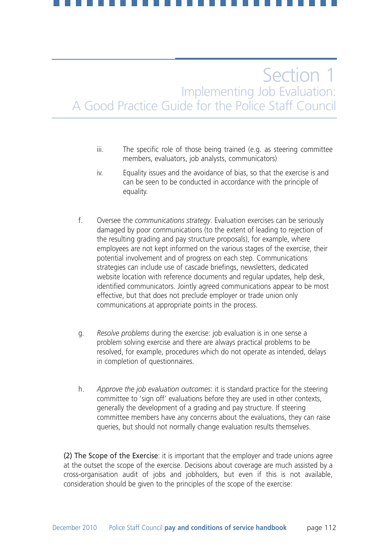- iii. The specific role of those being trained (e.g. as steering committee members, evaluators, job analysts, communicators)
- iv. Equality issues and the avoidance of bias, so that the exercise is and can be seen to be conducted in accordance with the principle of equality.
- f. Oversee the *communications strategy*. Evaluation exercises can be seriously damaged by poor communications (to the extent of leading to rejection of the resulting grading and pay structure proposals), for example, where employees are not kept informed on the various stages of the exercise, their potential involvement and of progress on each step. Communications strategies can include use of cascade briefings, newsletters, dedicated website location with reference documents and regular updates, help desk, identified communicators. Jointly agreed communications appear to be most effective, but that does not preclude employer or trade union only communications at appropriate points in the process.
- g. *Resolve problems* during the exercise: job evaluation is in one sense a problem solving exercise and there are always practical problems to be resolved, for example, procedures which do not operate as intended, delays in completion of questionnaires.
- h. *Approve the job evaluation outcomes*: it is standard practice for the steering committee to 'sign off' evaluations before they are used in other contexts, generally the development of a grading and pay structure. If steering committee members have any concerns about the evaluations, they can raise queries, but should not normally change evaluation results themselves.

(2) The Scope of the Exercise: it is important that the employer and trade unions agree at the outset the scope of the exercise. Decisions about coverage are much assisted by a cross-organisation audit of jobs and jobholders, but even if this is not available, consideration should be given to the principles of the scope of the exercise: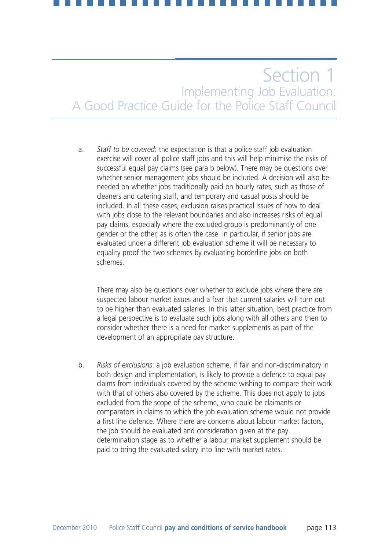a. *Staff to be covered*: the expectation is that a police staff job evaluation exercise will cover all police staff jobs and this will help minimise the risks of successful equal pay claims (see para b below). There may be questions over whether senior management jobs should be included. A decision will also be needed on whether jobs traditionally paid on hourly rates, such as those of cleaners and catering staff, and temporary and casual posts should be included. In all these cases, exclusion raises practical issues of how to deal with jobs close to the relevant boundaries and also increases risks of equal pay claims, especially where the excluded group is predominantly of one gender or the other, as is often the case. In particular, if senior jobs are evaluated under a different job evaluation scheme it will be necessary to equality proof the two schemes by evaluating borderline jobs on both schemes.

There may also be questions over whether to exclude jobs where there are suspected labour market issues and a fear that current salaries will turn out to be higher than evaluated salaries. In this latter situation, best practice from a legal perspective is to evaluate such jobs along with all others and then to consider whether there is a need for market supplements as part of the development of an appropriate pay structure.

b. *Risks of exclusions*: a job evaluation scheme, if fair and non-discriminatory in both design and implementation, is likely to provide a defence to equal pay claims from individuals covered by the scheme wishing to compare their work with that of others also covered by the scheme. This does not apply to jobs excluded from the scope of the scheme, who could be claimants or comparators in claims to which the job evaluation scheme would not provide a first line defence. Where there are concerns about labour market factors, the job should be evaluated and consideration given at the pay determination stage as to whether a labour market supplement should be paid to bring the evaluated salary into line with market rates.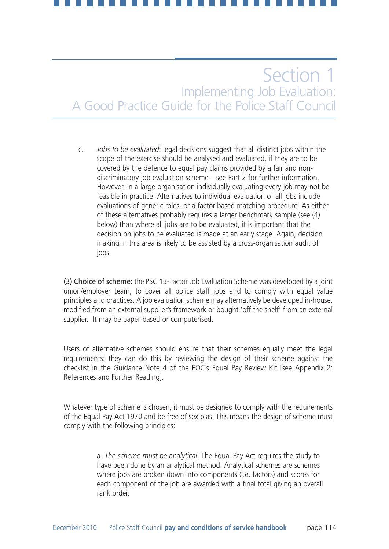c. *Jobs to be evaluated*: legal decisions suggest that all distinct jobs within the scope of the exercise should be analysed and evaluated, if they are to be covered by the defence to equal pay claims provided by a fair and nondiscriminatory job evaluation scheme – see Part 2 for further information. However, in a large organisation individually evaluating every job may not be feasible in practice. Alternatives to individual evaluation of all jobs include evaluations of generic roles, or a factor-based matching procedure. As either of these alternatives probably requires a larger benchmark sample (see (4) below) than where all jobs are to be evaluated, it is important that the decision on jobs to be evaluated is made at an early stage. Again, decision making in this area is likely to be assisted by a cross-organisation audit of jobs.

(3) Choice of scheme: the PSC 13-Factor Job Evaluation Scheme was developed by a joint union/employer team, to cover all police staff jobs and to comply with equal value principles and practices. A job evaluation scheme may alternatively be developed in-house, modified from an external supplier's framework or bought 'off the shelf' from an external supplier. It may be paper based or computerised.

Users of alternative schemes should ensure that their schemes equally meet the legal requirements: they can do this by reviewing the design of their scheme against the checklist in the Guidance Note 4 of the EOC's Equal Pay Review Kit [see Appendix 2: References and Further Reading].

Whatever type of scheme is chosen, it must be designed to comply with the requirements of the Equal Pay Act 1970 and be free of sex bias. This means the design of scheme must comply with the following principles:

> a. *The scheme must be analytical*. The Equal Pay Act requires the study to have been done by an analytical method. Analytical schemes are schemes where jobs are broken down into components (i.e. factors) and scores for each component of the job are awarded with a final total giving an overall rank order.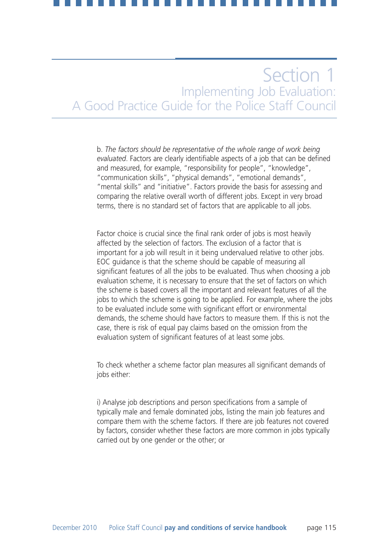b. *The factors should be representative of the whole range of work being evaluated*. Factors are clearly identifiable aspects of a job that can be defined and measured, for example, "responsibility for people", "knowledge", "communication skills", "physical demands", "emotional demands", "mental skills" and "initiative". Factors provide the basis for assessing and comparing the relative overall worth of different jobs. Except in very broad terms, there is no standard set of factors that are applicable to all jobs.

Factor choice is crucial since the final rank order of jobs is most heavily affected by the selection of factors. The exclusion of a factor that is important for a job will result in it being undervalued relative to other jobs. EOC guidance is that the scheme should be capable of measuring all significant features of all the jobs to be evaluated. Thus when choosing a job evaluation scheme, it is necessary to ensure that the set of factors on which the scheme is based covers all the important and relevant features of all the jobs to which the scheme is going to be applied. For example, where the jobs to be evaluated include some with significant effort or environmental demands, the scheme should have factors to measure them. If this is not the case, there is risk of equal pay claims based on the omission from the evaluation system of significant features of at least some jobs.

To check whether a scheme factor plan measures all significant demands of jobs either:

i) Analyse job descriptions and person specifications from a sample of typically male and female dominated jobs, listing the main job features and compare them with the scheme factors. If there are job features not covered by factors, consider whether these factors are more common in jobs typically carried out by one gender or the other; or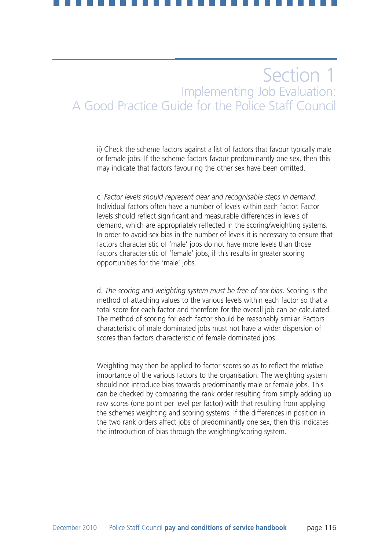ii) Check the scheme factors against a list of factors that favour typically male or female jobs. If the scheme factors favour predominantly one sex, then this may indicate that factors favouring the other sex have been omitted.

c. *Factor levels should represent clear and recognisable steps in demand*. Individual factors often have a number of levels within each factor. Factor levels should reflect significant and measurable differences in levels of demand, which are appropriately reflected in the scoring/weighting systems. In order to avoid sex bias in the number of levels it is necessary to ensure that factors characteristic of 'male' jobs do not have more levels than those factors characteristic of 'female' jobs, if this results in greater scoring opportunities for the 'male' jobs.

d. *The scoring and weighting system must be free of sex bias*. Scoring is the method of attaching values to the various levels within each factor so that a total score for each factor and therefore for the overall job can be calculated. The method of scoring for each factor should be reasonably similar. Factors characteristic of male dominated jobs must not have a wider dispersion of scores than factors characteristic of female dominated jobs.

Weighting may then be applied to factor scores so as to reflect the relative importance of the various factors to the organisation. The weighting system should not introduce bias towards predominantly male or female jobs. This can be checked by comparing the rank order resulting from simply adding up raw scores (one point per level per factor) with that resulting from applying the schemes weighting and scoring systems. If the differences in position in the two rank orders affect jobs of predominantly one sex, then this indicates the introduction of bias through the weighting/scoring system.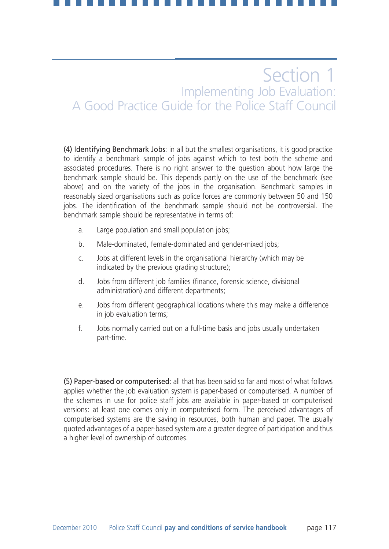(4) Identifying Benchmark Jobs: in all but the smallest organisations, it is good practice to identify a benchmark sample of jobs against which to test both the scheme and associated procedures. There is no right answer to the question about how large the benchmark sample should be. This depends partly on the use of the benchmark (see above) and on the variety of the jobs in the organisation. Benchmark samples in reasonably sized organisations such as police forces are commonly between 50 and 150 jobs. The identification of the benchmark sample should not be controversial. The benchmark sample should be representative in terms of:

- a. Large population and small population jobs;
- b. Male-dominated, female-dominated and gender-mixed jobs;
- c. Jobs at different levels in the organisational hierarchy (which may be indicated by the previous grading structure);
- d. Jobs from different job families (finance, forensic science, divisional administration) and different departments;
- e. Jobs from different geographical locations where this may make a difference in job evaluation terms;
- f. Jobs normally carried out on a full-time basis and jobs usually undertaken part-time.

(5) Paper-based or computerised: all that has been said so far and most of what follows applies whether the job evaluation system is paper-based or computerised. A number of the schemes in use for police staff jobs are available in paper-based or computerised versions: at least one comes only in computerised form. The perceived advantages of computerised systems are the saving in resources, both human and paper. The usually quoted advantages of a paper-based system are a greater degree of participation and thus a higher level of ownership of outcomes.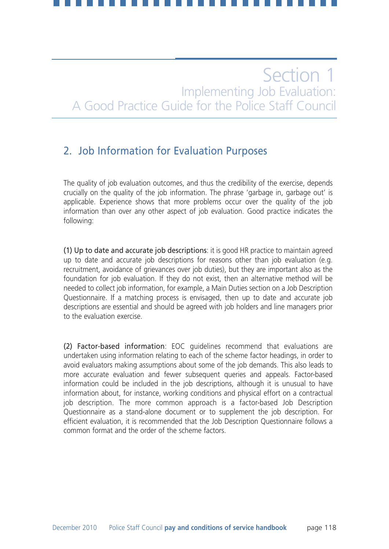## 2. Job Information for Evaluation Purposes

The quality of job evaluation outcomes, and thus the credibility of the exercise, depends crucially on the quality of the job information. The phrase 'garbage in, garbage out' is applicable. Experience shows that more problems occur over the quality of the job information than over any other aspect of job evaluation. Good practice indicates the following:

(1) Up to date and accurate job descriptions: it is good HR practice to maintain agreed up to date and accurate job descriptions for reasons other than job evaluation (e.g. recruitment, avoidance of grievances over job duties), but they are important also as the foundation for job evaluation. If they do not exist, then an alternative method will be needed to collect job information, for example, a Main Duties section on a Job Description Questionnaire. If a matching process is envisaged, then up to date and accurate job descriptions are essential and should be agreed with job holders and line managers prior to the evaluation exercise.

(2) Factor-based information: EOC guidelines recommend that evaluations are undertaken using information relating to each of the scheme factor headings, in order to avoid evaluators making assumptions about some of the job demands. This also leads to more accurate evaluation and fewer subsequent queries and appeals. Factor-based information could be included in the job descriptions, although it is unusual to have information about, for instance, working conditions and physical effort on a contractual job description. The more common approach is a factor-based Job Description Questionnaire as a stand-alone document or to supplement the job description. For efficient evaluation, it is recommended that the Job Description Questionnaire follows a common format and the order of the scheme factors.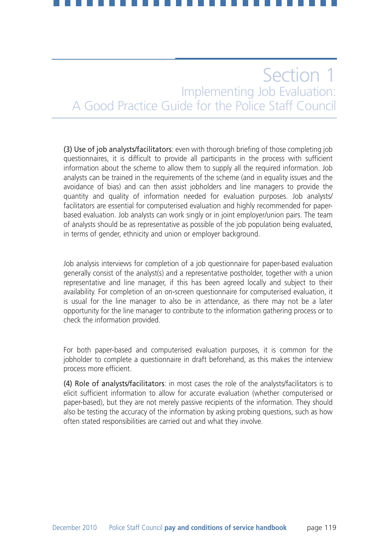(3) Use of job analysts/facilitators: even with thorough briefing of those completing job questionnaires, it is difficult to provide all participants in the process with sufficient information about the scheme to allow them to supply all the required information. Job analysts can be trained in the requirements of the scheme (and in equality issues and the avoidance of bias) and can then assist jobholders and line managers to provide the quantity and quality of information needed for evaluation purposes. Job analysts/ facilitators are essential for computerised evaluation and highly recommended for paperbased evaluation. Job analysts can work singly or in joint employer/union pairs. The team of analysts should be as representative as possible of the job population being evaluated, in terms of gender, ethnicity and union or employer background.

Job analysis interviews for completion of a job questionnaire for paper-based evaluation generally consist of the analyst(s) and a representative postholder, together with a union representative and line manager, if this has been agreed locally and subject to their availability. For completion of an on-screen questionnaire for computerised evaluation, it is usual for the line manager to also be in attendance, as there may not be a later opportunity for the line manager to contribute to the information gathering process or to check the information provided.

For both paper-based and computerised evaluation purposes, it is common for the jobholder to complete a questionnaire in draft beforehand, as this makes the interview process more efficient.

(4) Role of analysts/facilitators: in most cases the role of the analysts/facilitators is to elicit sufficient information to allow for accurate evaluation (whether computerised or paper-based), but they are not merely passive recipients of the information. They should also be testing the accuracy of the information by asking probing questions, such as how often stated responsibilities are carried out and what they involve.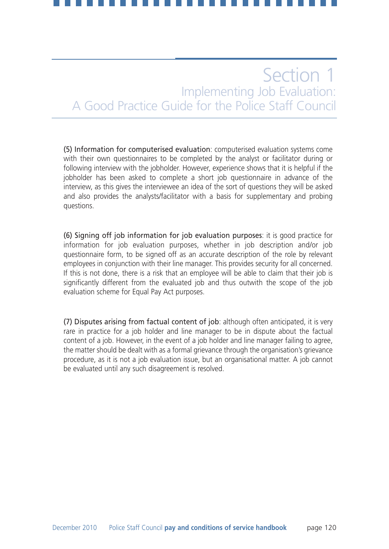(5) Information for computerised evaluation: computerised evaluation systems come with their own questionnaires to be completed by the analyst or facilitator during or following interview with the jobholder. However, experience shows that it is helpful if the jobholder has been asked to complete a short job questionnaire in advance of the interview, as this gives the interviewee an idea of the sort of questions they will be asked and also provides the analysts/facilitator with a basis for supplementary and probing questions.

(6) Signing off job information for job evaluation purposes: it is good practice for information for job evaluation purposes, whether in job description and/or job questionnaire form, to be signed off as an accurate description of the role by relevant employees in conjunction with their line manager. This provides security for all concerned. If this is not done, there is a risk that an employee will be able to claim that their job is significantly different from the evaluated job and thus outwith the scope of the job evaluation scheme for Equal Pay Act purposes.

(7) Disputes arising from factual content of job: although often anticipated, it is very rare in practice for a job holder and line manager to be in dispute about the factual content of a job. However, in the event of a job holder and line manager failing to agree, the matter should be dealt with as a formal grievance through the organisation's grievance procedure, as it is not a job evaluation issue, but an organisational matter. A job cannot be evaluated until any such disagreement is resolved.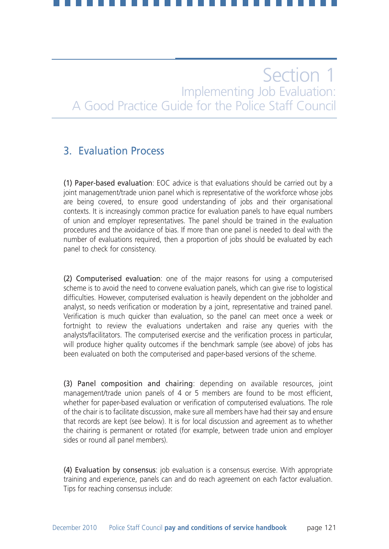### 3. Evaluation Process

(1) Paper-based evaluation: EOC advice is that evaluations should be carried out by a joint management/trade union panel which is representative of the workforce whose jobs are being covered, to ensure good understanding of jobs and their organisational contexts. It is increasingly common practice for evaluation panels to have equal numbers of union and employer representatives. The panel should be trained in the evaluation procedures and the avoidance of bias. If more than one panel is needed to deal with the number of evaluations required, then a proportion of jobs should be evaluated by each panel to check for consistency.

(2) Computerised evaluation: one of the major reasons for using a computerised scheme is to avoid the need to convene evaluation panels, which can give rise to logistical difficulties. However, computerised evaluation is heavily dependent on the jobholder and analyst, so needs verification or moderation by a joint, representative and trained panel. Verification is much quicker than evaluation, so the panel can meet once a week or fortnight to review the evaluations undertaken and raise any queries with the analysts/facilitators. The computerised exercise and the verification process in particular, will produce higher quality outcomes if the benchmark sample (see above) of jobs has been evaluated on both the computerised and paper-based versions of the scheme.

(3) Panel composition and chairing: depending on available resources, joint management/trade union panels of 4 or 5 members are found to be most efficient, whether for paper-based evaluation or verification of computerised evaluations. The role of the chair is to facilitate discussion, make sure all members have had their say and ensure that records are kept (see below). It is for local discussion and agreement as to whether the chairing is permanent or rotated (for example, between trade union and employer sides or round all panel members).

(4) Evaluation by consensus: job evaluation is a consensus exercise. With appropriate training and experience, panels can and do reach agreement on each factor evaluation. Tips for reaching consensus include: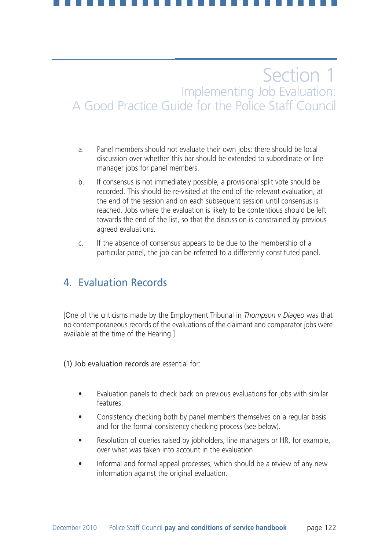- a. Panel members should not evaluate their own jobs: there should be local discussion over whether this bar should be extended to subordinate or line manager jobs for panel members.
- b. If consensus is not immediately possible, a provisional split vote should be recorded. This should be re-visited at the end of the relevant evaluation, at the end of the session and on each subsequent session until consensus is reached. Jobs where the evaluation is likely to be contentious should be left towards the end of the list, so that the discussion is constrained by previous agreed evaluations.
- c. If the absence of consensus appears to be due to the membership of a particular panel, the job can be referred to a differently constituted panel.

### 4. Evaluation Records

[One of the criticisms made by the Employment Tribunal in *Thompson v Diageo* was that no contemporaneous records of the evaluations of the claimant and comparator jobs were available at the time of the Hearing.]

(1) Job evaluation records are essential for:

- Evaluation panels to check back on previous evaluations for jobs with similar features.
- Consistency checking both by panel members themselves on a regular basis and for the formal consistency checking process (see below).
- Resolution of queries raised by jobholders, line managers or HR, for example, over what was taken into account in the evaluation.
- Informal and formal appeal processes, which should be a review of any new information against the original evaluation.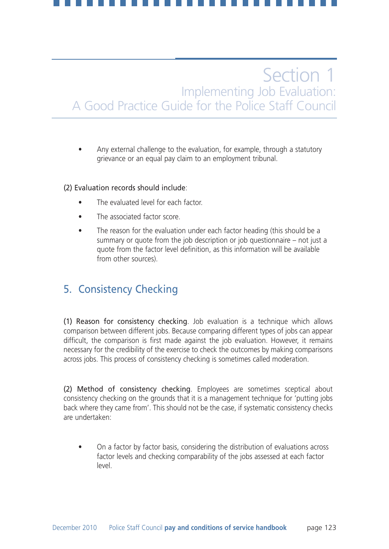• Any external challenge to the evaluation, for example, through a statutory grievance or an equal pay claim to an employment tribunal.

### (2) Evaluation records should include:

- The evaluated level for each factor.
- The associated factor score.
- The reason for the evaluation under each factor heading (this should be a summary or quote from the job description or job questionnaire – not just a quote from the factor level definition, as this information will be available from other sources).

## 5. Consistency Checking

(1) Reason for consistency checking. Job evaluation is a technique which allows comparison between different jobs. Because comparing different types of jobs can appear difficult, the comparison is first made against the job evaluation. However, it remains necessary for the credibility of the exercise to check the outcomes by making comparisons across jobs. This process of consistency checking is sometimes called moderation.

(2) Method of consistency checking. Employees are sometimes sceptical about consistency checking on the grounds that it is a management technique for 'putting jobs back where they came from'. This should not be the case, if systematic consistency checks are undertaken:

• On a factor by factor basis, considering the distribution of evaluations across factor levels and checking comparability of the jobs assessed at each factor level.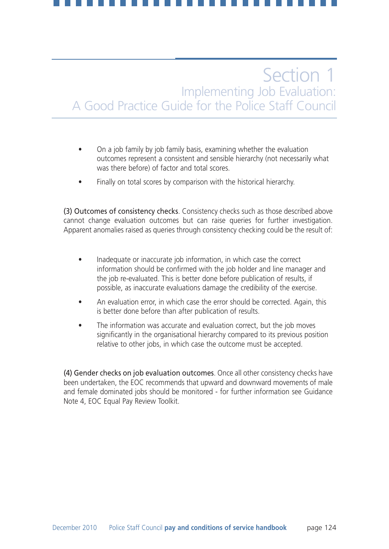- On a job family by job family basis, examining whether the evaluation outcomes represent a consistent and sensible hierarchy (not necessarily what was there before) of factor and total scores.
- Finally on total scores by comparison with the historical hierarchy.

(3) Outcomes of consistency checks. Consistency checks such as those described above cannot change evaluation outcomes but can raise queries for further investigation. Apparent anomalies raised as queries through consistency checking could be the result of:

- Inadequate or inaccurate job information, in which case the correct information should be confirmed with the job holder and line manager and the job re-evaluated. This is better done before publication of results, if possible, as inaccurate evaluations damage the credibility of the exercise.
- An evaluation error, in which case the error should be corrected. Again, this is better done before than after publication of results.
- The information was accurate and evaluation correct, but the job moves significantly in the organisational hierarchy compared to its previous position relative to other jobs, in which case the outcome must be accepted.

(4) Gender checks on job evaluation outcomes. Once all other consistency checks have been undertaken, the EOC recommends that upward and downward movements of male and female dominated jobs should be monitored - for further information see Guidance Note 4, EOC Equal Pay Review Toolkit.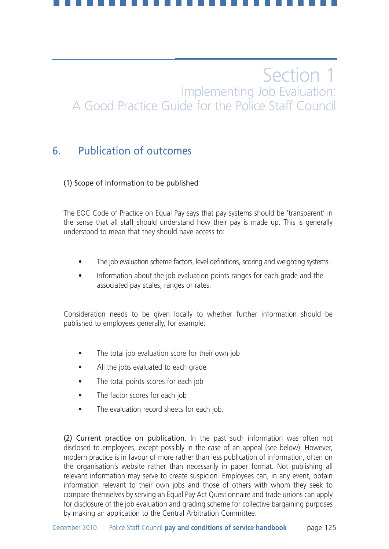### 6. Publication of outcomes

### (1) Scope of information to be published

The EOC Code of Practice on Equal Pay says that pay systems should be 'transparent' in the sense that all staff should understand how their pay is made up. This is generally understood to mean that they should have access to:

- The job evaluation scheme factors, level definitions, scoring and weighting systems.
- Information about the job evaluation points ranges for each grade and the associated pay scales, ranges or rates.

Consideration needs to be given locally to whether further information should be published to employees generally, for example:

- The total job evaluation score for their own job
- All the jobs evaluated to each grade
- The total points scores for each job
- The factor scores for each job
- The evaluation record sheets for each job.

(2) Current practice on publication. In the past such information was often not disclosed to employees, except possibly in the case of an appeal (see below). However, modern practice is in favour of more rather than less publication of information, often on the organisation's website rather than necessarily in paper format. Not publishing all relevant information may serve to create suspicion. Employees can, in any event, obtain information relevant to their own jobs and those of others with whom they seek to compare themselves by serving an Equal Pay Act Questionnaire and trade unions can apply for disclosure of the job evaluation and grading scheme for collective bargaining purposes by making an application to the Central Arbitration Committee.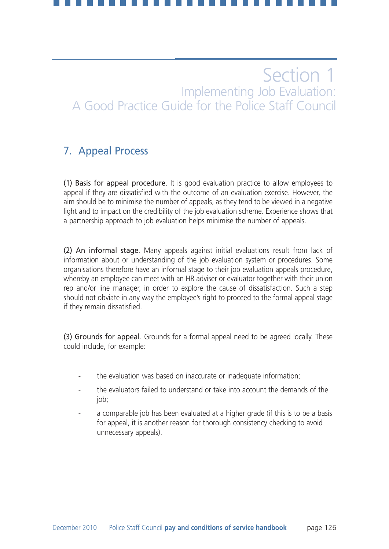## 7. Appeal Process

(1) Basis for appeal procedure. It is good evaluation practice to allow employees to appeal if they are dissatisfied with the outcome of an evaluation exercise. However, the aim should be to minimise the number of appeals, as they tend to be viewed in a negative light and to impact on the credibility of the job evaluation scheme. Experience shows that a partnership approach to job evaluation helps minimise the number of appeals.

(2) An informal stage. Many appeals against initial evaluations result from lack of information about or understanding of the job evaluation system or procedures. Some organisations therefore have an informal stage to their job evaluation appeals procedure, whereby an employee can meet with an HR adviser or evaluator together with their union rep and/or line manager, in order to explore the cause of dissatisfaction. Such a step should not obviate in any way the employee's right to proceed to the formal appeal stage if they remain dissatisfied.

(3) Grounds for appeal. Grounds for a formal appeal need to be agreed locally. These could include, for example:

- the evaluation was based on inaccurate or inadequate information;
- the evaluators failed to understand or take into account the demands of the job;
- a comparable job has been evaluated at a higher grade (if this is to be a basis for appeal, it is another reason for thorough consistency checking to avoid unnecessary appeals).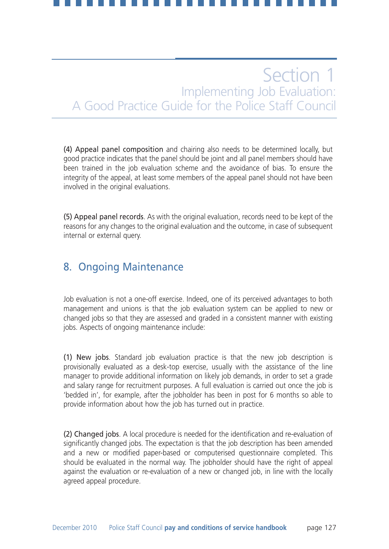(4) Appeal panel composition and chairing also needs to be determined locally, but good practice indicates that the panel should be joint and all panel members should have been trained in the job evaluation scheme and the avoidance of bias. To ensure the integrity of the appeal, at least some members of the appeal panel should not have been involved in the original evaluations.

(5) Appeal panel records. As with the original evaluation, records need to be kept of the reasons for any changes to the original evaluation and the outcome, in case of subsequent internal or external query.

### 8. Ongoing Maintenance

Job evaluation is not a one-off exercise. Indeed, one of its perceived advantages to both management and unions is that the job evaluation system can be applied to new or changed jobs so that they are assessed and graded in a consistent manner with existing jobs. Aspects of ongoing maintenance include:

(1) New jobs. Standard job evaluation practice is that the new job description is provisionally evaluated as a desk-top exercise, usually with the assistance of the line manager to provide additional information on likely job demands, in order to set a grade and salary range for recruitment purposes. A full evaluation is carried out once the job is 'bedded in', for example, after the jobholder has been in post for 6 months so able to provide information about how the job has turned out in practice.

(2) Changed jobs. A local procedure is needed for the identification and re-evaluation of significantly changed jobs. The expectation is that the job description has been amended and a new or modified paper-based or computerised questionnaire completed. This should be evaluated in the normal way. The jobholder should have the right of appeal against the evaluation or re-evaluation of a new or changed job, in line with the locally agreed appeal procedure.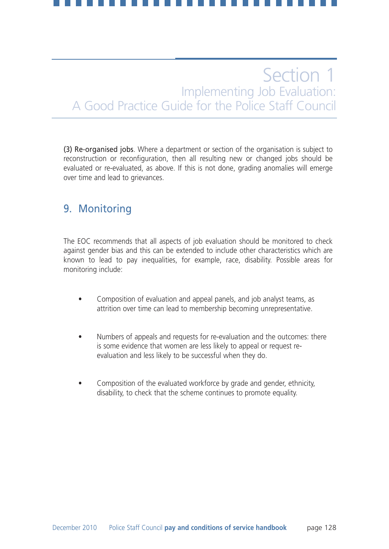(3) Re-organised jobs. Where a department or section of the organisation is subject to reconstruction or reconfiguration, then all resulting new or changed jobs should be evaluated or re-evaluated, as above. If this is not done, grading anomalies will emerge over time and lead to grievances.

### 9. Monitoring

The EOC recommends that all aspects of job evaluation should be monitored to check against gender bias and this can be extended to include other characteristics which are known to lead to pay inequalities, for example, race, disability. Possible areas for monitoring include:

- Composition of evaluation and appeal panels, and job analyst teams, as attrition over time can lead to membership becoming unrepresentative.
- Numbers of appeals and requests for re-evaluation and the outcomes: there is some evidence that women are less likely to appeal or request reevaluation and less likely to be successful when they do.
- Composition of the evaluated workforce by grade and gender, ethnicity, disability, to check that the scheme continues to promote equality.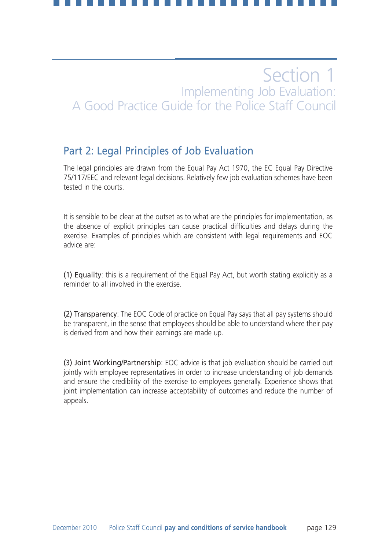### Part 2: Legal Principles of Job Evaluation

The legal principles are drawn from the Equal Pay Act 1970, the EC Equal Pay Directive 75/117/EEC and relevant legal decisions. Relatively few job evaluation schemes have been tested in the courts.

It is sensible to be clear at the outset as to what are the principles for implementation, as the absence of explicit principles can cause practical difficulties and delays during the exercise. Examples of principles which are consistent with legal requirements and EOC advice are:

(1) Equality: this is a requirement of the Equal Pay Act, but worth stating explicitly as a reminder to all involved in the exercise.

(2) Transparency: The EOC Code of practice on Equal Pay says that all pay systems should be transparent, in the sense that employees should be able to understand where their pay is derived from and how their earnings are made up.

(3) Joint Working/Partnership: EOC advice is that job evaluation should be carried out jointly with employee representatives in order to increase understanding of job demands and ensure the credibility of the exercise to employees generally. Experience shows that joint implementation can increase acceptability of outcomes and reduce the number of appeals.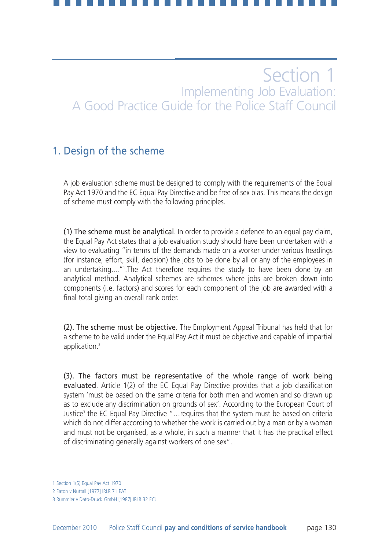### 1. Design of the scheme

A job evaluation scheme must be designed to comply with the requirements of the Equal Pay Act 1970 and the EC Equal Pay Directive and be free of sex bias. This means the design of scheme must comply with the following principles.

(1) The scheme must be analytical. In order to provide a defence to an equal pay claim, the Equal Pay Act states that a job evaluation study should have been undertaken with a view to evaluating "in terms of the demands made on a worker under various headings (for instance, effort, skill, decision) the jobs to be done by all or any of the employees in an undertaking...."<sup>1</sup>.The Act therefore requires the study to have been done by an analytical method. Analytical schemes are schemes where jobs are broken down into components (i.e. factors) and scores for each component of the job are awarded with a final total giving an overall rank order.

(2). The scheme must be objective. The Employment Appeal Tribunal has held that for a scheme to be valid under the Equal Pay Act it must be objective and capable of impartial application.<sup>2</sup>

(3). The factors must be representative of the whole range of work being evaluated. Article 1(2) of the EC Equal Pay Directive provides that a job classification system 'must be based on the same criteria for both men and women and so drawn up as to exclude any discrimination on grounds of sex'. According to the European Court of Justice<sup>3</sup> the EC Equal Pay Directive "...requires that the system must be based on criteria which do not differ according to whether the work is carried out by a man or by a woman and must not be organised, as a whole, in such a manner that it has the practical effect of discriminating generally against workers of one sex".

<sup>1</sup> Section 1(5) Equal Pay Act 1970

<sup>2</sup> Eaton v Nuttall [1977] IRLR 71 EAT

<sup>3</sup> Rummler v Dato-Druck GmbH [1987[ IRLR 32 ECJ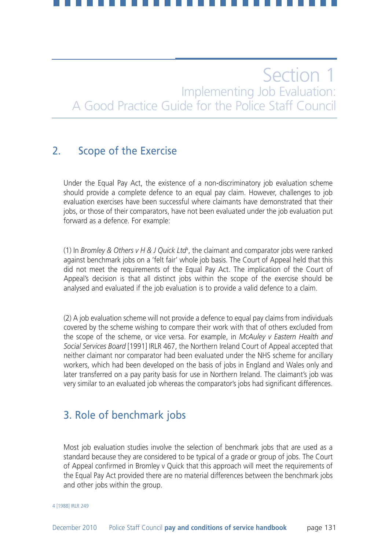### 2. Scope of the Exercise

Under the Equal Pay Act, the existence of a non-discriminatory job evaluation scheme should provide a complete defence to an equal pay claim. However, challenges to job evaluation exercises have been successful where claimants have demonstrated that their jobs, or those of their comparators, have not been evaluated under the job evaluation put forward as a defence. For example:

(1) In *Bromley & Others v H & J Quick Ltd<sup>4</sup>,* the claimant and comparator jobs were ranked against benchmark jobs on a 'felt fair' whole job basis. The Court of Appeal held that this did not meet the requirements of the Equal Pay Act. The implication of the Court of Appeal's decision is that all distinct jobs within the scope of the exercise should be analysed and evaluated if the job evaluation is to provide a valid defence to a claim.

(2) A job evaluation scheme will not provide a defence to equal pay claims from individuals covered by the scheme wishing to compare their work with that of others excluded from the scope of the scheme, or vice versa. For example, in *McAuley v Eastern Health and Social Services Board* [1991] IRLR 467, the Northern Ireland Court of Appeal accepted that neither claimant nor comparator had been evaluated under the NHS scheme for ancillary workers, which had been developed on the basis of jobs in England and Wales only and later transferred on a pay parity basis for use in Northern Ireland. The claimant's job was very similar to an evaluated job whereas the comparator's jobs had significant differences.

### 3. Role of benchmark jobs

Most job evaluation studies involve the selection of benchmark jobs that are used as a standard because they are considered to be typical of a grade or group of jobs. The Court of Appeal confirmed in Bromley v Quick that this approach will meet the requirements of the Equal Pay Act provided there are no material differences between the benchmark jobs and other jobs within the group.

4 [1988] IRLR 249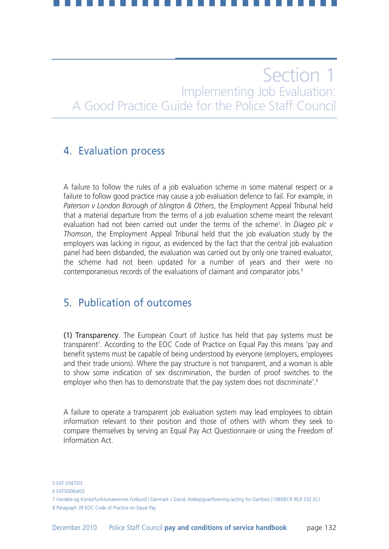### 4. Evaluation process

A failure to follow the rules of a job evaluation scheme in some material respect or a failure to follow good practice may cause a job evaluation defence to fail. For example, in *Paterson v London Borough of Islington & Others*, the Employment Appeal Tribunal held that a material departure from the terms of a job evaluation scheme meant the relevant evaluation had not been carried out under the terms of the scheme5 . In *Diageo plc v Thomson*, the Employment Appeal Tribunal held that the job evaluation study by the employers was lacking in rigour, as evidenced by the fact that the central job evaluation panel had been disbanded, the evaluation was carried out by only one trained evaluator, the scheme had not been updated for a number of years and their were no contemporaneous records of the evaluations of claimant and comparator jobs.<sup>6</sup>

### 5. Publication of outcomes

(1) Transparency. The European Court of Justice has held that pay systems must be transparent<sup>7</sup>. According to the EOC Code of Practice on Equal Pay this means 'pay and benefit systems must be capable of being understood by everyone (employers, employees and their trade unions). Where the pay structure is not transparent, and a woman is able to show some indication of sex discrimination, the burden of proof switches to the employer who then has to demonstrate that the pay system does not discriminate'.<sup>8</sup>

A failure to operate a transparent job evaluation system may lead employees to obtain information relevant to their position and those of others with whom they seek to compare themselves by serving an Equal Pay Act Questionnaire or using the Freedom of Information Act.

<sup>5</sup> EAT 0347/03

<sup>6</sup> EATS/0064/03

<sup>7</sup> Handels-og Kontorfunktionaerernes Forbund I Danmark v Dansk Arebejsgiverforening (acting for Danfoss) [1989]ECR IRLR 532 ECJ 8 Paragraph 39 EOC Code of Practice on Equal Pay.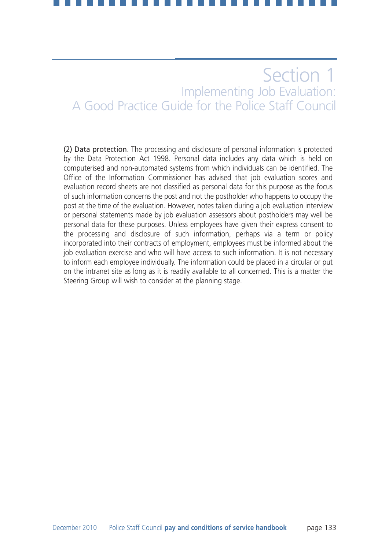(2) Data protection. The processing and disclosure of personal information is protected by the Data Protection Act 1998. Personal data includes any data which is held on computerised and non-automated systems from which individuals can be identified. The Office of the Information Commissioner has advised that job evaluation scores and evaluation record sheets are not classified as personal data for this purpose as the focus of such information concerns the post and not the postholder who happens to occupy the post at the time of the evaluation. However, notes taken during a job evaluation interview or personal statements made by job evaluation assessors about postholders may well be personal data for these purposes. Unless employees have given their express consent to the processing and disclosure of such information, perhaps via a term or policy incorporated into their contracts of employment, employees must be informed about the job evaluation exercise and who will have access to such information. It is not necessary to inform each employee individually. The information could be placed in a circular or put on the intranet site as long as it is readily available to all concerned. This is a matter the Steering Group will wish to consider at the planning stage.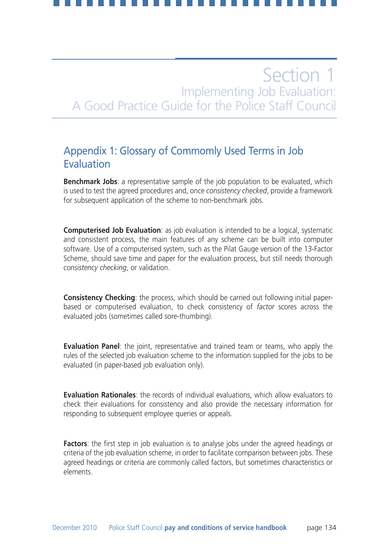### Appendix 1: Glossary of Commomly Used Terms in Job Evaluation

**Benchmark Jobs**: a representative sample of the job population to be evaluated, which is used to test the agreed procedures and, once *consistency checked*, provide a framework for subsequent application of the scheme to non-benchmark jobs.

**Computerised Job Evaluation**: as job evaluation is intended to be a logical, systematic and consistent process, the main features of any scheme can be built into computer software. Use of a computerised system, such as the Pilat Gauge version of the 13-Factor Scheme, should save time and paper for the evaluation process, but still needs thorough *consistency checking*, or validation.

**Consistency Checking**: the process, which should be carried out following initial paperbased or computerised evaluation, to check consistency of *factor* scores across the evaluated jobs (sometimes called sore-thumbing).

**Evaluation Panel**: the joint, representative and trained team or teams, who apply the rules of the selected job evaluation scheme to the information supplied for the jobs to be evaluated (in paper-based job evaluation only).

**Evaluation Rationales**: the records of individual evaluations, which allow evaluators to check their evaluations for consistency and also provide the necessary information for responding to subsequent employee queries or appeals.

**Factors**: the first step in job evaluation is to analyse jobs under the agreed headings or criteria of the job evaluation scheme, in order to facilitate comparison between jobs. These agreed headings or criteria are commonly called factors, but sometimes characteristics or elements.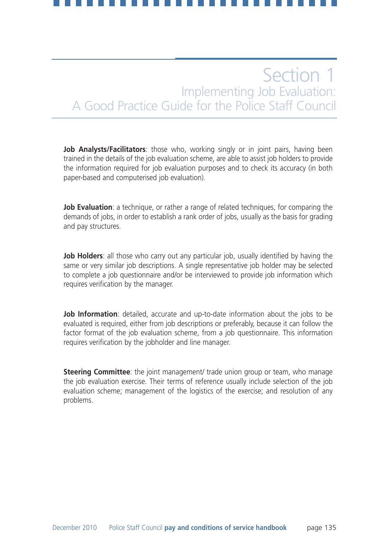**Job Analysts/Facilitators**: those who, working singly or in joint pairs, having been trained in the details of the job evaluation scheme, are able to assist job holders to provide the information required for job evaluation purposes and to check its accuracy (in both paper-based and computerised job evaluation).

**Job Evaluation**: a technique, or rather a range of related techniques, for comparing the demands of jobs, in order to establish a rank order of jobs, usually as the basis for grading and pay structures.

**Job Holders**: all those who carry out any particular job, usually identified by having the same or very similar job descriptions. A single representative job holder may be selected to complete a job questionnaire and/or be interviewed to provide job information which requires verification by the manager.

**Job Information**: detailed, accurate and up-to-date information about the jobs to be evaluated is required, either from job descriptions or preferably, because it can follow the factor format of the job evaluation scheme, from a job questionnaire. This information requires verification by the jobholder and line manager.

**Steering Committee**: the joint management/ trade union group or team, who manage the job evaluation exercise. Their terms of reference usually include selection of the job evaluation scheme; management of the logistics of the exercise; and resolution of any problems.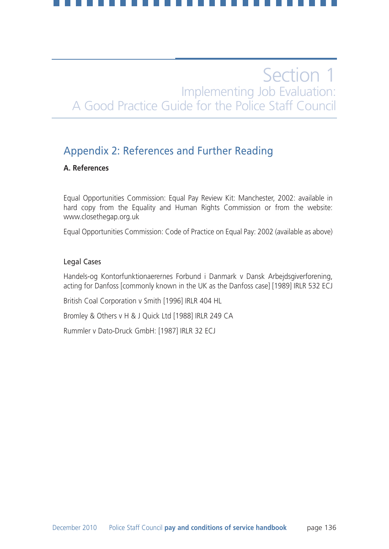### Appendix 2: References and Further Reading

### **A. References**

Equal Opportunities Commission: Equal Pay Review Kit: Manchester, 2002: available in hard copy from the Equality and Human Rights Commission or from the website: www.closethegap.org.uk

Equal Opportunities Commission: Code of Practice on Equal Pay: 2002 (available as above)

### Legal Cases

Handels-og Kontorfunktionaerernes Forbund i Danmark v Dansk Arbejdsgiverforening, acting for Danfoss [commonly known in the UK as the Danfoss case] [1989] IRLR 532 ECJ

British Coal Corporation v Smith [1996] IRLR 404 HL

Bromley & Others v H & J Quick Ltd [1988] IRLR 249 CA

Rummler v Dato-Druck GmbH: [1987] IRLR 32 ECJ